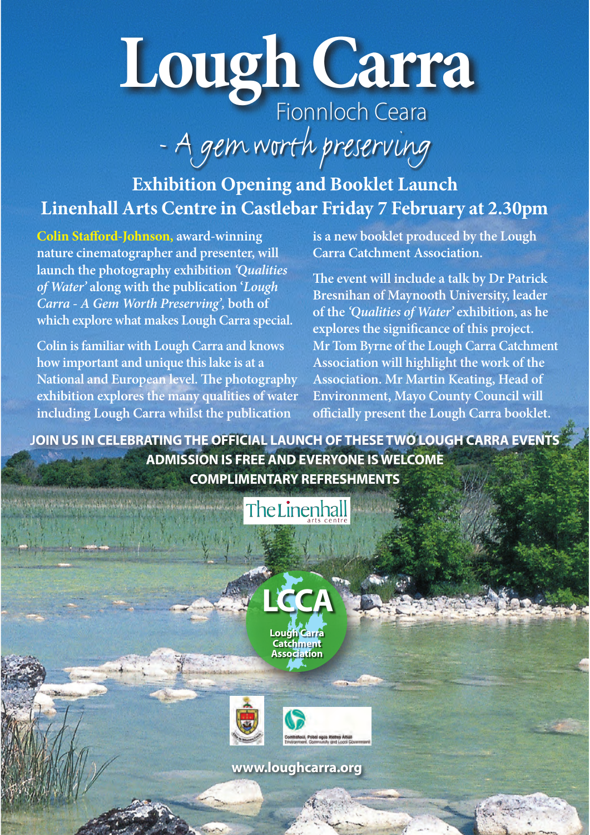# **Lough Carra** Fionnloch Ceara

FOOTHOCH Ceara

# **Exhibition Opening and Booklet Launch Linenhall Arts Centre in Castlebar Friday 7 February at 2.30pm**

**Colin Staford-Johnson, award-winning nature cinematographer and presenter, will launch the photography exhibition** *'Qualities of Water'* **along with the publication '***Lough Carra - A Gem Worth Preserving',* **both of which explore what makes Lough Carra special.**

**Colin is familiar with Lough Carra and knows how important and unique this lake is at a National and European level. Te photography exhibition explores the many qualities of water including Lough Carra whilst the publication** 

**is a new booklet produced by the Lough Carra Catchment Association.**

**Te event will include a talk by Dr Patrick Bresnihan of Maynooth University, leader of the** *'Qualities of Water'* **exhibition, as he explores the signifcance of this project. Mr Tom Byrne of the Lough Carra Catchment Association will highlight the work of the Association. Mr Martin Keating, Head of Environment, Mayo County Council will ofcially present the Lough Carra booklet.**

**JOIN US IN CELEBRATING THE OFFICIAL LAUNCH OF THESE TWO LOUGH CARRA EVENTS ADMISSION IS FREE AND EVERYONE IS WELCOME COMPLIMENTARY REFRESHMENTS**